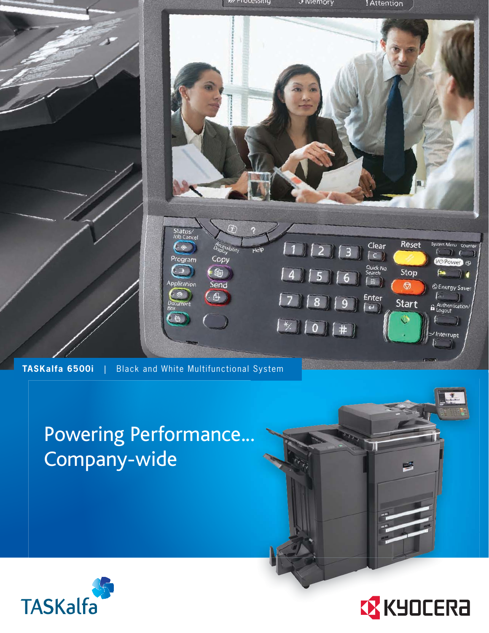

**TASKalfa 6500i** | Black and White Multifunctional System

## Powering Performance... Company-wide







唔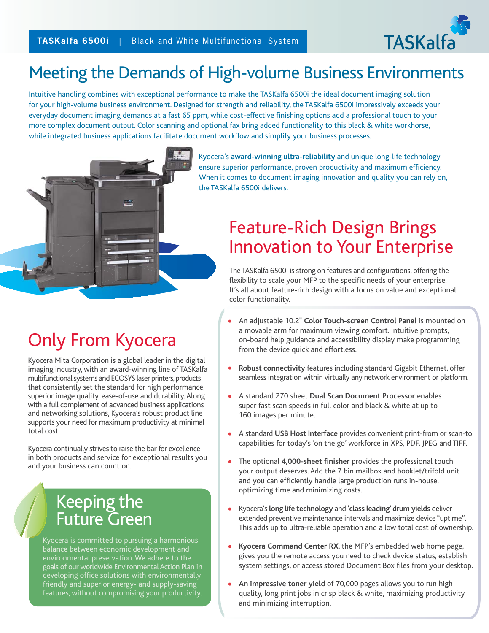

#### Meeting the Demands of High-volume Business Environments

Intuitive handling combines with exceptional performance to make the TASKalfa 6500i the ideal document imaging solution for your high-volume business environment. Designed for strength and reliability, the TASKalfa 6500i impressively exceeds your everyday document imaging demands at a fast 65 ppm, while cost-effective finishing options add a professional touch to your more complex document output. Color scanning and optional fax bring added functionality to this black & white workhorse, while integrated business applications facilitate document workflow and simplify your business processes.



Kyocera's **award-winning ultra-reliability** and unique long-life technology ensure superior performance, proven productivity and maximum efficiency. When it comes to document imaging innovation and quality you can rely on, the TASKalfa 6500i delivers.

#### Feature-Rich Design Brings Innovation to Your Enterprise

The TASKalfa 6500i is strong on features and configurations, offering the flexibility to scale your MFP to the specific needs of your enterprise. It's all about feature-rich design with a focus on value and exceptional color functionality.

### Only From Kyocera

Kyocera Mita Corporation is a global leader in the digital imaging industry, with an award-winning line of TASKalfa multifunctional systems and ECOSYS laser printers, products that consistently set the standard for high performance, superior image quality, ease-of-use and durability. Along with a full complement of advanced business applications and networking solutions, Kyocera's robust product line supports your need for maximum productivity at minimal total cost.

Kyocera continually strives to raise the bar for excellence in both products and service for exceptional results you and your business can count on.

#### Keeping the Future Green

Kyocera is committed to pursuing a harmonious balance between economic development and environmental preservation. We adhere to the goals of our worldwide Environmental Action Plan in developing office solutions with environmentally friendly and superior energy- and supply-saving features, without compromising your productivity.

- An adjustable 10.2" **Color Touch-screen Control Panel** is mounted on a movable arm for maximum viewing comfort. Intuitive prompts, on-board help guidance and accessibility display make programming from the device quick and effortless.
- **Robust connectivity** features including standard Gigabit Ethernet, offer seamless integration within virtually any network environment or platform.
- A standard 270 sheet **Dual Scan Document Processor** enables super fast scan speeds in full color and black & white at up to 160 images per minute.
- A standard **USB Host Interface** provides convenient print-from or scan-to capabilities for today's 'on the go' workforce in XPS, PDF, JPEG and TIFF.
- The optional **4,000-sheet finisher** provides the professional touch your output deserves. Add the 7 bin mailbox and booklet/trifold unit and you can efficiently handle large production runs in-house, optimizing time and minimizing costs.
- Kyocera's **long life technology** and **'class leading' drum yields** deliver extended preventive maintenance intervals and maximize device "uptime". This adds up to ultra-reliable operation and a low total cost of ownership.
- **Kyocera Command Center RX**, the MFP's embedded web home page, gives you the remote access you need to check device status, establish system settings, or access stored Document Box files from your desktop.
- **An impressive toner yield** of 70,000 pages allows you to run high quality, long print jobs in crisp black & white, maximizing productivity and minimizing interruption.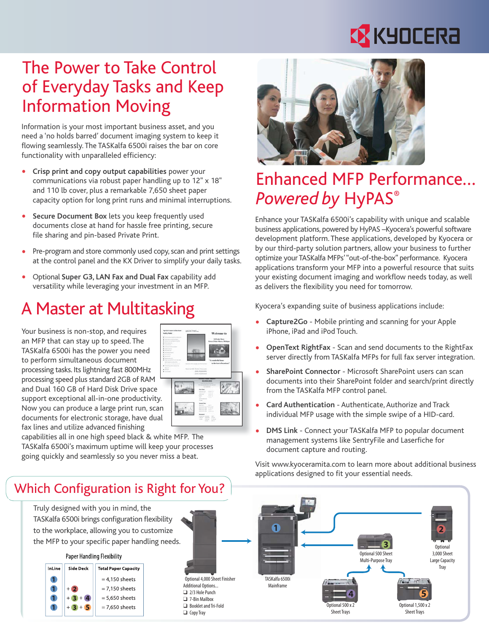# **EX KYOCERA**

#### The Power to Take Control of Everyday Tasks and Keep Information Moving

Information is your most important business asset, and you need a 'no holds barred' document imaging system to keep it flowing seamlessly. The TASKalfa 6500i raises the bar on core functionality with unparalleled efficiency:

- **Crisp print and copy output capabilities** power your communications via robust paper handling up to 12" x 18" and 110 lb cover, plus a remarkable 7,650 sheet paper capacity option for long print runs and minimal interruptions.
- **Secure Document Box** lets you keep frequently used documents close at hand for hassle free printing, secure file sharing and pin-based Private Print.
- Pre-program and store commonly used copy, scan and print settings at the control panel and the KX Driver to simplify your daily tasks.
- Optional **Super G3, LAN Fax and Dual Fax** capability add versatility while leveraging your investment in an MFP.

### A Master at Multitasking

Your business is non-stop, and requires an MFP that can stay up to speed. The TASKalfa 6500i has the power you need to perform simultaneous document processing tasks. Its lightning fast 800MHz processing speed plus standard 2GB of RAM and Dual 160 GB of Hard Disk Drive space support exceptional all-in-one productivity. Now you can produce a large print run, scan documents for electronic storage, have dual fax lines and utilize advanced finishing

capabilities all in one high speed black & white MFP. The TASKalfa 6500i's maximum uptime will keep your processes going quickly and seamlessly so you never miss a beat.

#### Which Configuration is Right for You?

Truly designed with you in mind, the TASKalfa 6500i brings configuration flexibility to the workplace, allowing you to customize the MFP to your specific paper handling needs.

#### Paper Handling Flexibility





Additional Options... 1 2/3 Hole Punch  $\Box$  7-Bin Mailbox □ Booklet and Tri-Fold  $\Box$  Copy Trav



#### Enhanced MFP Performance… *Powered by* HyPAS®

Enhance your TASKalfa 6500i's capability with unique and scalable business applications, powered by HyPAS –Kyocera's powerful software development platform. These applications, developed by Kyocera or by our third-party solution partners, allow your business to further optimize your TASKalfa MFPs' "out-of-the-box" performance. Kyocera applications transform your MFP into a powerful resource that suits your existing document imaging and workflow needs today, as well as delivers the flexibility you need for tomorrow.

Kyocera's expanding suite of business applications include:

- **Capture2Go** Mobile printing and scanning for your Apple iPhone, iPad and iPod Touch.
- **OpenText RightFax** Scan and send documents to the RightFax server directly from TASKalfa MFPs for full fax server integration.
- **SharePoint Connector** Microsoft SharePoint users can scan documents into their SharePoint folder and search/print directly from the TASKalfa MFP control panel.
- **Card Authentication** Authenticate, Authorize and Track individual MFP usage with the simple swipe of a HID-card.
- **DMS Link** Connect your TASKalfa MFP to popular document management systems like SentryFile and Laserfiche for document capture and routing.

Visit www.kyoceramita.com to learn more about additional business applications designed to fit your essential needs.